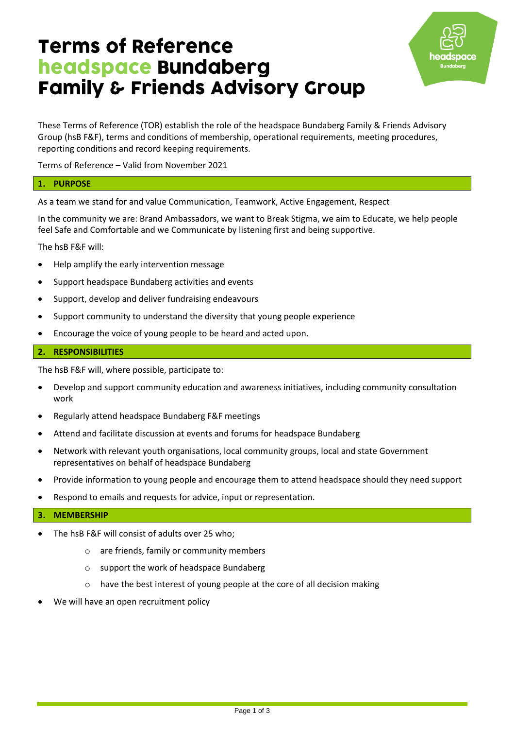# **Terms of Reference** headspace Bundaberg **Family & Friends Advisory Group**



These Terms of Reference (TOR) establish the role of the headspace Bundaberg Family & Friends Advisory Group (hsB F&F), terms and conditions of membership, operational requirements, meeting procedures, reporting conditions and record keeping requirements.

Terms of Reference – Valid from November 2021

# **1. PURPOSE**

As a team we stand for and value Communication, Teamwork, Active Engagement, Respect

In the community we are: Brand Ambassadors, we want to Break Stigma, we aim to Educate, we help people feel Safe and Comfortable and we Communicate by listening first and being supportive.

The hsB F&F will:

- Help amplify the early intervention message
- Support headspace Bundaberg activities and events
- Support, develop and deliver fundraising endeavours
- Support community to understand the diversity that young people experience
- Encourage the voice of young people to be heard and acted upon.

# **2. RESPONSIBILITIES**

The hsB F&F will, where possible, participate to:

- Develop and support community education and awareness initiatives, including community consultation work
- Regularly attend headspace Bundaberg F&F meetings
- Attend and facilitate discussion at events and forums for headspace Bundaberg
- Network with relevant youth organisations, local community groups, local and state Government representatives on behalf of headspace Bundaberg
- Provide information to young people and encourage them to attend headspace should they need support
- Respond to emails and requests for advice, input or representation.

# **3. MEMBERSHIP**

- The hsB F&F will consist of adults over 25 who;
	- o are friends, family or community members
	- o support the work of headspace Bundaberg
	- o have the best interest of young people at the core of all decision making
- We will have an open recruitment policy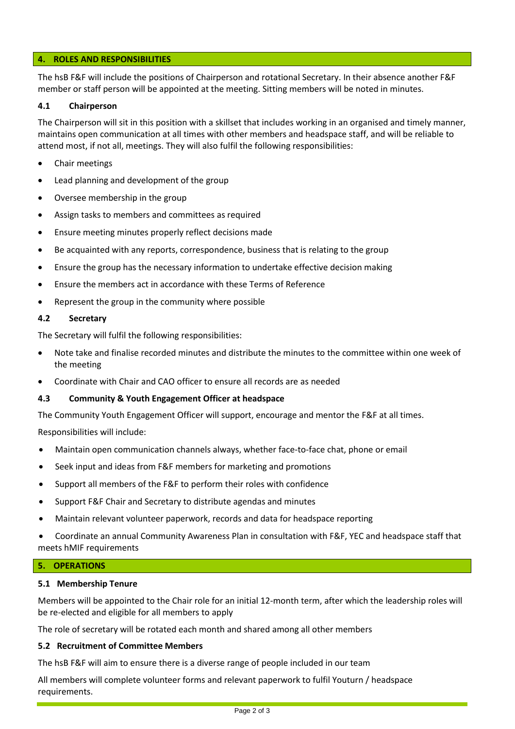## **4. ROLES AND RESPONSIBILITIES**

The hsB F&F will include the positions of Chairperson and rotational Secretary. In their absence another F&F member or staff person will be appointed at the meeting. Sitting members will be noted in minutes.

#### **4.1 Chairperson**

The Chairperson will sit in this position with a skillset that includes working in an organised and timely manner, maintains open communication at all times with other members and headspace staff, and will be reliable to attend most, if not all, meetings. They will also fulfil the following responsibilities:

- Chair meetings
- Lead planning and development of the group
- Oversee membership in the group
- Assign tasks to members and committees as required
- Ensure meeting minutes properly reflect decisions made
- Be acquainted with any reports, correspondence, business that is relating to the group
- Ensure the group has the necessary information to undertake effective decision making
- Ensure the members act in accordance with these Terms of Reference
- Represent the group in the community where possible

#### **4.2 Secretary**

The Secretary will fulfil the following responsibilities:

- Note take and finalise recorded minutes and distribute the minutes to the committee within one week of the meeting
- Coordinate with Chair and CAO officer to ensure all records are as needed

#### **4.3 Community & Youth Engagement Officer at headspace**

The Community Youth Engagement Officer will support, encourage and mentor the F&F at all times.

Responsibilities will include:

- Maintain open communication channels always, whether face-to-face chat, phone or email
- Seek input and ideas from F&F members for marketing and promotions
- Support all members of the F&F to perform their roles with confidence
- Support F&F Chair and Secretary to distribute agendas and minutes
- Maintain relevant volunteer paperwork, records and data for headspace reporting
- Coordinate an annual Community Awareness Plan in consultation with F&F, YEC and headspace staff that meets hMIF requirements

#### **5. OPERATIONS**

#### **5.1 Membership Tenure**

Members will be appointed to the Chair role for an initial 12-month term, after which the leadership roles will be re-elected and eligible for all members to apply

The role of secretary will be rotated each month and shared among all other members

#### **5.2 Recruitment of Committee Members**

The hsB F&F will aim to ensure there is a diverse range of people included in our team

All members will complete volunteer forms and relevant paperwork to fulfil Youturn / headspace requirements.